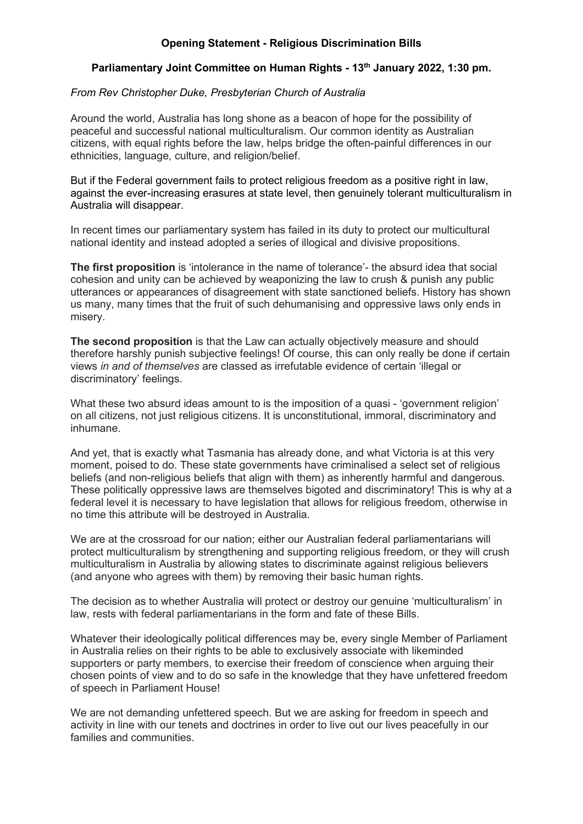## **Opening Statement - Religious Discrimination Bills**

## **Parliamentary Joint Committee on Human Rights - 13th January 2022, 1:30 pm.**

## *From Rev Christopher Duke, Presbyterian Church of Australia*

Around the world, Australia has long shone as a beacon of hope for the possibility of peaceful and successful national multiculturalism. Our common identity as Australian citizens, with equal rights before the law, helps bridge the often-painful differences in our ethnicities, language, culture, and religion/belief.

But if the Federal government fails to protect religious freedom as a positive right in law, against the ever-increasing erasures at state level, then genuinely tolerant multiculturalism in Australia will disappear.

In recent times our parliamentary system has failed in its duty to protect our multicultural national identity and instead adopted a series of illogical and divisive propositions.

**The first proposition** is 'intolerance in the name of tolerance'- the absurd idea that social cohesion and unity can be achieved by weaponizing the law to crush & punish any public utterances or appearances of disagreement with state sanctioned beliefs. History has shown us many, many times that the fruit of such dehumanising and oppressive laws only ends in misery.

**The second proposition** is that the Law can actually objectively measure and should therefore harshly punish subjective feelings! Of course, this can only really be done if certain views *in and of themselves* are classed as irrefutable evidence of certain 'illegal or discriminatory' feelings.

What these two absurd ideas amount to is the imposition of a quasi - 'government religion' on all citizens, not just religious citizens. It is unconstitutional, immoral, discriminatory and inhumane.

And yet, that is exactly what Tasmania has already done, and what Victoria is at this very moment, poised to do. These state governments have criminalised a select set of religious beliefs (and non-religious beliefs that align with them) as inherently harmful and dangerous. These politically oppressive laws are themselves bigoted and discriminatory! This is why at a federal level it is necessary to have legislation that allows for religious freedom, otherwise in no time this attribute will be destroyed in Australia.

We are at the crossroad for our nation; either our Australian federal parliamentarians will protect multiculturalism by strengthening and supporting religious freedom, or they will crush multiculturalism in Australia by allowing states to discriminate against religious believers (and anyone who agrees with them) by removing their basic human rights.

The decision as to whether Australia will protect or destroy our genuine 'multiculturalism' in law, rests with federal parliamentarians in the form and fate of these Bills.

Whatever their ideologically political differences may be, every single Member of Parliament in Australia relies on their rights to be able to exclusively associate with likeminded supporters or party members, to exercise their freedom of conscience when arguing their chosen points of view and to do so safe in the knowledge that they have unfettered freedom of speech in Parliament House!

We are not demanding unfettered speech. But we are asking for freedom in speech and activity in line with our tenets and doctrines in order to live out our lives peacefully in our families and communities.